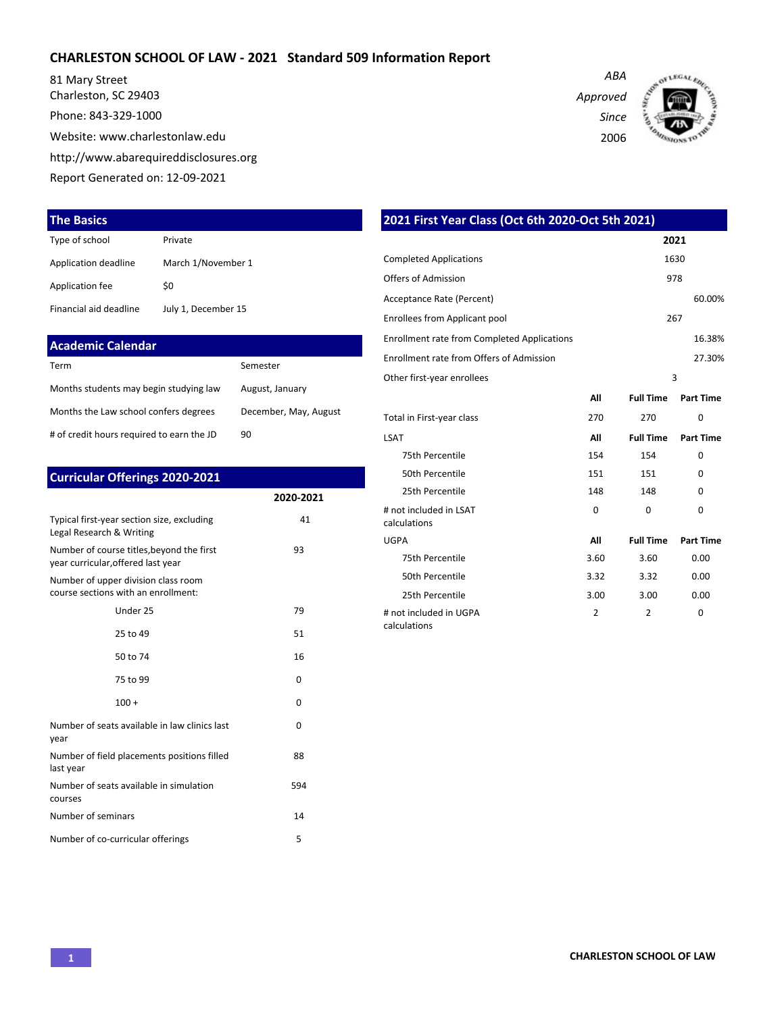#### **CHARLESTON SCHOOL OF LAW - 2021 Standard 509 Information Report**

81 Mary Street Charleston, SC 29403 Phone: 843-329-1000 Website: www.charlestonlaw.edu http://www.abarequireddisclosures.org Report Generated on: 12-09-2021

#### **The Basics**

| Type of school         | Private             |
|------------------------|---------------------|
| Application deadline   | March 1/November 1  |
| Application fee        | \$0                 |
| Financial aid deadline | July 1, December 15 |

| <b>Academic Calendar</b>                  |                       |
|-------------------------------------------|-----------------------|
| Term                                      | Semester              |
| Months students may begin studying law    | August, January       |
| Months the Law school confers degrees     | December, May, August |
| # of credit hours required to earn the JD | 90                    |

| <b>Curricular Offerings 2020-2021</b>                                           |              |
|---------------------------------------------------------------------------------|--------------|
|                                                                                 | 2020-2021    |
| Typical first-year section size, excluding<br>Legal Research & Writing          | 41           |
| Number of course titles, beyond the first<br>year curricular, offered last year | 93           |
| Number of upper division class room<br>course sections with an enrollment:      |              |
| Under 25                                                                        | 79           |
| 25 to 49                                                                        | 51           |
| 50 to 74                                                                        | 16           |
| 75 to 99                                                                        | 0            |
| $100 +$                                                                         | 0            |
| Number of seats available in law clinics last<br>year                           | <sup>0</sup> |
| Number of field placements positions filled<br>last year                        | 88           |
| Number of seats available in simulation<br>courses                              | 594          |
| Number of seminars                                                              | 14           |
| Number of co-curricular offerings                                               | 5            |

**2021** Completed Applications 1630 Offers of Admission 978 Acceptance Rate (Percent) 60.00% Enrollees from Applicant pool 267 Enrollment rate from Completed Applications 16.38% Enrollment rate from Offers of Admission 27.30% Other first-year enrollees 3 **All Full Time Part Time** Total in First-year class 270 270 0 LSAT **All Full Time Part Time** 75th Percentile 254 154 0 50th Percentile 2012 151 151 0 25th Percentile 25th Percentile 25th Percentile 25th Percentile 20 # not included in LSAT calculations 0 0 0 UGPA **All Full Time Part Time** 75th Percentile 3.60 3.60 0.00 50th Percentile 3.32 3.32 0.00 25th Percentile 3.00 3.00 0.00 # not included in UGPA 2 2 0

calculations

**2021 First Year Class (Oct 6th 2020-Oct 5th 2021)**

*Approved Since*

*ABA*

2006

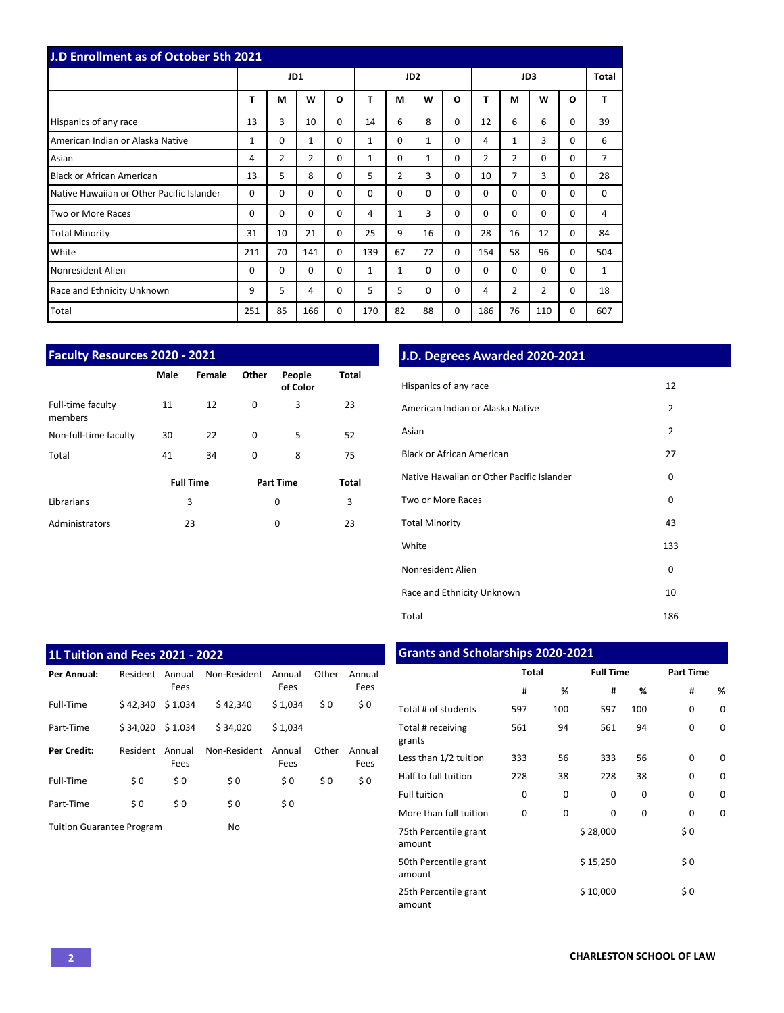| J.D Enrollment as of October 5th 2021     |              |                |                |              |          |                 |              |          |                |          |             |          |              |
|-------------------------------------------|--------------|----------------|----------------|--------------|----------|-----------------|--------------|----------|----------------|----------|-------------|----------|--------------|
|                                           |              | JD1            |                |              |          | JD <sub>2</sub> |              |          |                |          | JD3         |          | Total        |
|                                           | T            | M              | W              | $\mathbf{o}$ | T        | M               | W            | O        | т              | М        | W           | O        | T            |
| Hispanics of any race                     | 13           | 3              | 10             | $\Omega$     | 14       | 6               | 8            | 0        | 12             | 6        | 6           | 0        | 39           |
| American Indian or Alaska Native          | $\mathbf{1}$ | 0              | $\mathbf{1}$   | $\Omega$     | 1        | $\Omega$        | $\mathbf{1}$ | 0        | 4              | 1        | 3           | 0        | 6            |
| Asian                                     | 4            | $\overline{2}$ | $\overline{2}$ | $\Omega$     | 1        | $\Omega$        | $\mathbf{1}$ | 0        | $\overline{2}$ | 2        | $\mathbf 0$ | 0        | 7            |
| <b>Black or African American</b>          | 13           | 5              | 8              | $\Omega$     | 5        | $\overline{2}$  | 3            | 0        | 10             | 7        | 3           | 0        | 28           |
| Native Hawaiian or Other Pacific Islander | 0            | 0              | $\Omega$       | $\Omega$     | $\Omega$ | $\Omega$        | $\Omega$     | 0        | $\Omega$       | $\Omega$ | $\mathbf 0$ | 0        | 0            |
| Two or More Races                         | 0            | $\Omega$       | $\Omega$       | $\Omega$     | 4        | $\mathbf{1}$    | 3            | 0        | $\Omega$       | $\Omega$ | $\Omega$    | $\Omega$ | 4            |
| <b>Total Minority</b>                     | 31           | 10             | 21             | $\Omega$     | 25       | 9               | 16           | 0        | 28             | 16       | 12          | $\Omega$ | 84           |
| White                                     | 211          | 70             | 141            | $\Omega$     | 139      | 67              | 72           | 0        | 154            | 58       | 96          | 0        | 504          |
| Nonresident Alien                         | 0            | 0              | $\Omega$       | $\Omega$     | 1        | $\mathbf{1}$    | $\Omega$     | $\Omega$ | $\Omega$       | $\Omega$ | $\mathbf 0$ | 0        | $\mathbf{1}$ |
| Race and Ethnicity Unknown                | 9            | 5              | 4              | 0            | 5        | 5               | 0            | 0        | 4              | 2        | 2           | 0        | 18           |
| Total                                     | 251          | 85             | 166            | 0            | 170      | 82              | 88           | 0        | 186            | 76       | 110         | 0        | 607          |

| <b>Faculty Resources 2020 - 2021</b> |      |                  |       |                    |              |  |  |  |  |
|--------------------------------------|------|------------------|-------|--------------------|--------------|--|--|--|--|
|                                      | Male | Female           | Other | People<br>of Color | Total        |  |  |  |  |
| Full-time faculty<br>members         | 11   | 12               | 0     | 3                  | 23           |  |  |  |  |
| Non-full-time faculty                | 30   | 22               | 0     | 5                  | 52           |  |  |  |  |
| Total                                | 41   | 34               | 0     | 8                  | 75           |  |  |  |  |
|                                      |      | <b>Full Time</b> |       | <b>Part Time</b>   | <b>Total</b> |  |  |  |  |
| Librarians                           |      | 3                |       | 0                  | 3            |  |  |  |  |
| Administrators                       |      | 23               |       | 0                  | 23           |  |  |  |  |

# **J.D. Degrees Awarded 2020-2021**

| Hispanics of any race                     | 12             |
|-------------------------------------------|----------------|
| American Indian or Alaska Native          | $\overline{2}$ |
| Asian                                     | $\overline{2}$ |
| Black or African American                 | 27             |
| Native Hawaiian or Other Pacific Islander | 0              |
| Two or More Races                         | 0              |
| <b>Total Minority</b>                     | 43             |
| White                                     | 133            |
| Nonresident Alien                         | 0              |
| Race and Ethnicity Unknown                | 10             |
| Total                                     | 186            |

| <b>1L Tuition and Fees 2021 - 2022</b> |          |                |              |                |       |                |  |  |  |  |  |  |  |
|----------------------------------------|----------|----------------|--------------|----------------|-------|----------------|--|--|--|--|--|--|--|
| Per Annual:                            | Resident | Annual<br>Fees | Non-Resident | Annual<br>Fees | Other | Annual<br>Fees |  |  |  |  |  |  |  |
| Full-Time                              | \$42.340 | \$1.034        | \$42.340     | \$1.034        | \$0   | \$0            |  |  |  |  |  |  |  |
| Part-Time                              | \$34.020 | \$1.034        | \$34.020     | \$1.034        |       |                |  |  |  |  |  |  |  |
| Per Credit:                            | Resident | Annual<br>Fees | Non-Resident | Annual<br>Fees | Other | Annual<br>Fees |  |  |  |  |  |  |  |
| Full-Time                              | \$0      | \$0            | \$0          | \$0            | \$0   | \$0            |  |  |  |  |  |  |  |
| Part-Time                              | \$0      | \$0            | \$0          | \$0            |       |                |  |  |  |  |  |  |  |
| <b>Tuition Guarantee Program</b>       |          | No             |              |                |       |                |  |  |  |  |  |  |  |

# **Grants and Scholarships 2020-2021**

|                                 | <b>Total</b> |          | <b>Full Time</b> |     | <b>Part Time</b> |          |
|---------------------------------|--------------|----------|------------------|-----|------------------|----------|
|                                 | #            | %        | #                | %   | #                | %        |
| Total # of students             | 597          | 100      | 597              | 100 | $\Omega$         | 0        |
| Total # receiving<br>grants     | 561          | 94       | 561              | 94  | $\Omega$         | 0        |
| Less than 1/2 tuition           | 333          | 56       | 333              | 56  | $\Omega$         | $\Omega$ |
| Half to full tuition            | 228          | 38       | 228              | 38  | $\Omega$         | 0        |
| <b>Full tuition</b>             | 0            | 0        | 0                | 0   | $\Omega$         | 0        |
| More than full tuition          | 0            | $\Omega$ | $\Omega$         | 0   | 0                | 0        |
| 75th Percentile grant<br>amount |              |          | \$28,000         |     | \$0              |          |
| 50th Percentile grant<br>amount |              |          | \$15,250         |     | \$0              |          |
| 25th Percentile grant<br>amount |              |          | \$10,000         |     | \$0              |          |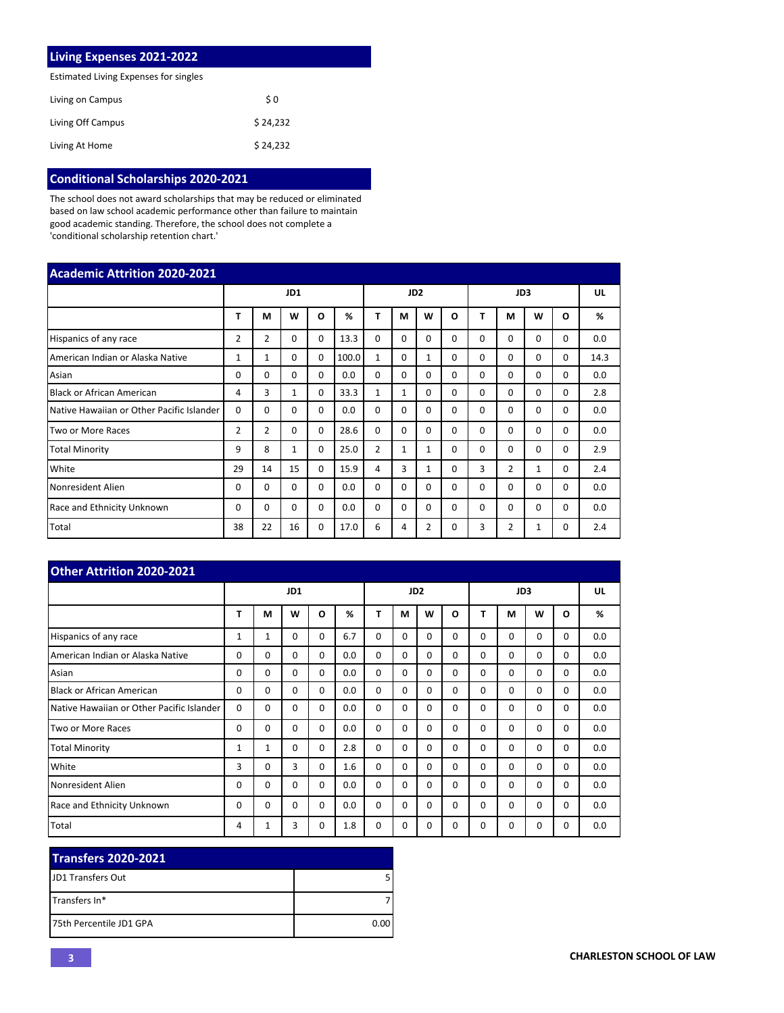| Living Expenses 2021-2022             |          |  |  |  |  |  |  |  |  |
|---------------------------------------|----------|--|--|--|--|--|--|--|--|
| Estimated Living Expenses for singles |          |  |  |  |  |  |  |  |  |
| Living on Campus                      | \$0      |  |  |  |  |  |  |  |  |
| Living Off Campus                     | \$24.232 |  |  |  |  |  |  |  |  |
| Living At Home                        | \$24.232 |  |  |  |  |  |  |  |  |

### **Conditional Scholarships 2020-2021**

The school does not award scholarships that may be reduced or eliminated based on law school academic performance other than failure to maintain good academic standing. Therefore, the school does not complete a 'conditional scholarship retention chart.'

| <b>Academic Attrition 2020-2021</b>       |    |                |              |          |         |                |              |                 |          |          |                |          |          |      |
|-------------------------------------------|----|----------------|--------------|----------|---------|----------------|--------------|-----------------|----------|----------|----------------|----------|----------|------|
|                                           |    |                | JD1          |          |         |                |              | JD <sub>2</sub> |          |          | JD3            |          |          | UL   |
|                                           | T  | М              | W            | O        | %       | Т              | М            | W               | O        | т        | M              | W        | O        | %    |
| Hispanics of any race                     | 2  | $\overline{2}$ | $\Omega$     | 0        | 13.3    | 0              | 0            | $\Omega$        | 0        | 0        | $\Omega$       | 0        | 0        | 0.0  |
| American Indian or Alaska Native          | 1  | 1              | $\Omega$     | 0        | 100.0   | 1              | 0            | $\mathbf{1}$    | 0        | $\Omega$ | $\Omega$       | 0        | $\Omega$ | 14.3 |
| Asian                                     | 0  | $\Omega$       | $\Omega$     | $\Omega$ | 0.0     | $\Omega$       | $\Omega$     | $\Omega$        | 0        | $\Omega$ | $\Omega$       | $\Omega$ | $\Omega$ | 0.0  |
| <b>Black or African American</b>          | 4  | 3              | $\mathbf{1}$ | $\Omega$ | 33.3    | $\mathbf{1}$   | $\mathbf{1}$ | $\Omega$        | $\Omega$ | $\Omega$ | $\Omega$       | $\Omega$ | $\Omega$ | 2.8  |
| Native Hawaiian or Other Pacific Islander | 0  | $\Omega$       | 0            | 0        | $0.0\,$ | 0              | $\Omega$     | $\Omega$        | 0        | $\Omega$ | 0              | 0        | 0        | 0.0  |
| Two or More Races                         | 2  | $\overline{2}$ | $\Omega$     | $\Omega$ | 28.6    | $\Omega$       | $\Omega$     | $\Omega$        | 0        | $\Omega$ | $\Omega$       | $\Omega$ | $\Omega$ | 0.0  |
| <b>Total Minority</b>                     | 9  | 8              | $\mathbf{1}$ | $\Omega$ | 25.0    | $\overline{2}$ | $\mathbf{1}$ | $\mathbf{1}$    | $\Omega$ | $\Omega$ | $\Omega$       | $\Omega$ | $\Omega$ | 2.9  |
| White                                     | 29 | 14             | 15           | $\Omega$ | 15.9    | 4              | 3            | $\mathbf{1}$    | 0        | 3        | $\overline{2}$ | 1        | $\Omega$ | 2.4  |
| Nonresident Alien                         | 0  | $\Omega$       | $\Omega$     | 0        | 0.0     | $\Omega$       | $\Omega$     | $\Omega$        | $\Omega$ | $\Omega$ | $\Omega$       | 0        | $\Omega$ | 0.0  |
| Race and Ethnicity Unknown                | 0  | $\Omega$       | $\Omega$     | 0        | 0.0     | 0              | $\Omega$     | $\Omega$        | 0        | $\Omega$ | $\Omega$       | 0        | $\Omega$ | 0.0  |
| Total                                     | 38 | 22             | 16           | $\Omega$ | 17.0    | 6              | 4            | 2               | $\Omega$ | 3        | $\overline{2}$ | 1        | 0        | 2.4  |

| <b>Other Attrition 2020-2021</b>          |          |              |          |          |     |                 |          |          |          |          |          |             |          |     |
|-------------------------------------------|----------|--------------|----------|----------|-----|-----------------|----------|----------|----------|----------|----------|-------------|----------|-----|
|                                           |          |              | JD1      |          |     | JD <sub>2</sub> |          |          |          | JD3      |          |             |          | UL  |
|                                           | т        | М            | W        | O        | %   | т               | М        | W        | O        | т        | М        | W           | O        | %   |
| Hispanics of any race                     | 1        | $\mathbf{1}$ | $\Omega$ | $\Omega$ | 6.7 | $\Omega$        | $\Omega$ | 0        | $\Omega$ | $\Omega$ | $\Omega$ | $\mathbf 0$ | $\Omega$ | 0.0 |
| American Indian or Alaska Native          | $\Omega$ | $\Omega$     | $\Omega$ | $\Omega$ | 0.0 | $\Omega$        | $\Omega$ | $\Omega$ | $\Omega$ | $\Omega$ | $\Omega$ | $\mathbf 0$ | $\Omega$ | 0.0 |
| Asian                                     | $\Omega$ | $\Omega$     | $\Omega$ | $\Omega$ | 0.0 | $\Omega$        | $\Omega$ | $\Omega$ | $\Omega$ | $\Omega$ | $\Omega$ | $\mathbf 0$ | $\Omega$ | 0.0 |
| <b>Black or African American</b>          | $\Omega$ | $\Omega$     | $\Omega$ | $\Omega$ | 0.0 | $\Omega$        | $\Omega$ | $\Omega$ | $\Omega$ | $\Omega$ | $\Omega$ | $\Omega$    | $\Omega$ | 0.0 |
| Native Hawaiian or Other Pacific Islander | $\Omega$ | $\Omega$     | $\Omega$ | $\Omega$ | 0.0 | $\Omega$        | $\Omega$ | 0        | $\Omega$ | $\Omega$ | $\Omega$ | 0           | $\Omega$ | 0.0 |
| Two or More Races                         | $\Omega$ | $\Omega$     | $\Omega$ | $\Omega$ | 0.0 | $\Omega$        | $\Omega$ | $\Omega$ | $\Omega$ | $\Omega$ | $\Omega$ | $\mathbf 0$ | $\Omega$ | 0.0 |
| <b>Total Minority</b>                     | 1        | $\mathbf{1}$ | $\Omega$ | $\Omega$ | 2.8 | $\Omega$        | $\Omega$ | $\Omega$ | $\Omega$ | $\Omega$ | $\Omega$ | $\Omega$    | $\Omega$ | 0.0 |
| White                                     | 3        | $\Omega$     | 3        | $\Omega$ | 1.6 | $\Omega$        | $\Omega$ | $\Omega$ | $\Omega$ | $\Omega$ | $\Omega$ | $\mathbf 0$ | $\Omega$ | 0.0 |
| Nonresident Alien                         | 0        | $\Omega$     | $\Omega$ | $\Omega$ | 0.0 | $\Omega$        | 0        | $\Omega$ | $\Omega$ | $\Omega$ | $\Omega$ | 0           | $\Omega$ | 0.0 |
| <b>Race and Ethnicity Unknown</b>         | $\Omega$ | $\Omega$     | $\Omega$ | $\Omega$ | 0.0 | $\Omega$        | $\Omega$ | $\Omega$ | $\Omega$ | $\Omega$ | 0        | $\Omega$    | $\Omega$ | 0.0 |
| Total                                     | 4        | 1            | 3        | $\Omega$ | 1.8 | $\Omega$        | 0        | 0        | $\Omega$ | 0        | 0        | 0           | 0        | 0.0 |

| <b>Transfers 2020-2021</b> |      |
|----------------------------|------|
| <b>IJD1 Transfers Out</b>  |      |
| ITransfers In*             |      |
| 175th Percentile JD1 GPA   | 0.00 |